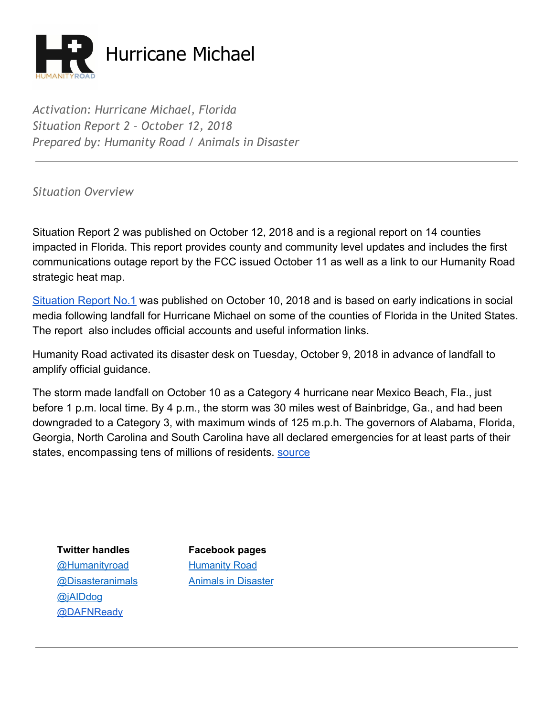

*Activation: Hurricane Michael, Florida Situation Report 2 – October 12, 2018 Prepared by: Humanity Road / Animals in Disaster*

*Situation Overview*

Situation Report 2 was published on October 12, 2018 and is a regional report on 14 counties impacted in Florida. This report provides county and community level updates and includes the first communications outage report by the FCC issued October 11 as well as a link to our Humanity Road strategic heat map.

[Situation Report No.1](https://static.spacecrafted.com/f0d3b97d12b34820b45425ab2ed7d2ef/r/cb995fe3f83d4168affcafa1956e684e/1/2018%20Florida%20Hurricane%20Michael%20Situation%20Report%20No.%201%20Oct%2010.pdf) was published on October 10, 2018 and is based on early indications in social media following landfall for Hurricane Michael on some of the counties of Florida in the United States. The report also includes official accounts and useful information links.

Humanity Road activated its disaster desk on Tuesday, October 9, 2018 in advance of landfall to amplify official guidance.

The storm made landfall on October 10 as a Category 4 hurricane near Mexico Beach, Fla., just before 1 p.m. local time. By 4 p.m., the storm was 30 miles west of Bainbridge, Ga., and had been downgraded to a Category 3, with maximum winds of 125 m.p.h. The governors of Alabama, Florida, Georgia, North Carolina and South Carolina have all declared emergencies for at least parts of their states, encompassing tens of millions of residents. [source](https://www.nytimes.com/2018/10/10/us/hurricane-michael-live-updates-florida.html)

[@Humanityroad](http://twitter.com/humanityroad) [Humanity](https://www.facebook.com/pages/Humanity-Road/111949498829253?ref=br_tf) Roa[d](https://www.facebook.com/pages/Humanity-Road/111949498829253?ref=br_tf) [@jAIDdog](http://twitter.com/jAIDdog) [@DAFNReady](https://twitter.com/DAFNReady)

**Twitter handles Facebook pages** [@Disasteranimals](http://twitter.com/disasteranimals) Animals in [Disaster](https://www.facebook.com/DisasterAnimals)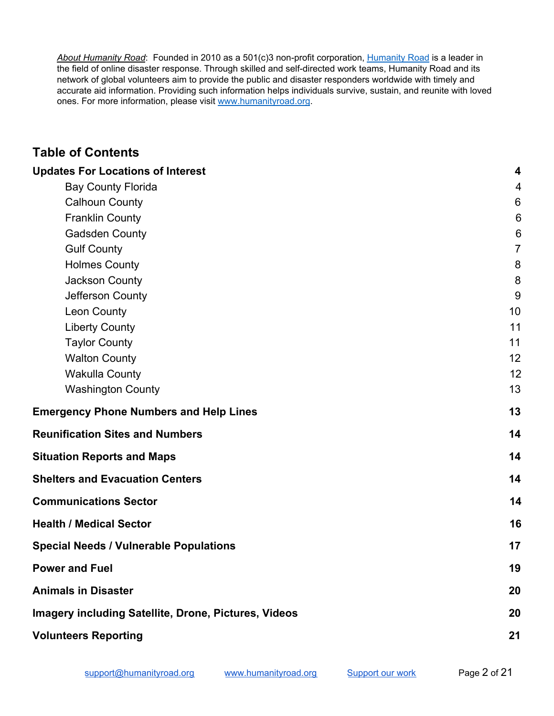*About Humanity Road*: Founded in 2010 as a 501(c)3 non-profit corporation, [Humanity](http://www.humanityroad.org/AboutUs.htm) Road is a leader in the field of online disaster response. Through skilled and self-directed work teams, Humanity Road and its network of global volunteers aim to provide the public and disaster responders worldwide with timely and accurate aid information. Providing such information helps individuals survive, sustain, and reunite with loved ones. For more information, please visit [www.humanityroad.org](http://www.humanityroad.org/).

## **Table of Contents**

| <b>Updates For Locations of Interest</b>                    | $\boldsymbol{4}$ |
|-------------------------------------------------------------|------------------|
| <b>Bay County Florida</b>                                   | 4                |
| <b>Calhoun County</b>                                       | $6\phantom{1}$   |
| <b>Franklin County</b>                                      | $6\phantom{1}$   |
| <b>Gadsden County</b>                                       | 6                |
| <b>Gulf County</b>                                          | $\overline{7}$   |
| <b>Holmes County</b>                                        | 8                |
| Jackson County                                              | 8                |
| Jefferson County                                            | 9                |
| Leon County                                                 | 10               |
| <b>Liberty County</b>                                       | 11               |
| <b>Taylor County</b>                                        | 11               |
| <b>Walton County</b>                                        | 12               |
| <b>Wakulla County</b>                                       | 12               |
| <b>Washington County</b>                                    | 13               |
| <b>Emergency Phone Numbers and Help Lines</b>               | 13               |
| <b>Reunification Sites and Numbers</b>                      | 14               |
| <b>Situation Reports and Maps</b>                           | 14               |
| <b>Shelters and Evacuation Centers</b>                      | 14               |
| <b>Communications Sector</b>                                | 14               |
| <b>Health / Medical Sector</b>                              | 16               |
| <b>Special Needs / Vulnerable Populations</b>               | 17               |
| <b>Power and Fuel</b>                                       | 19               |
| <b>Animals in Disaster</b>                                  | 20               |
| <b>Imagery including Satellite, Drone, Pictures, Videos</b> | 20               |
| <b>Volunteers Reporting</b>                                 | 21               |
|                                                             |                  |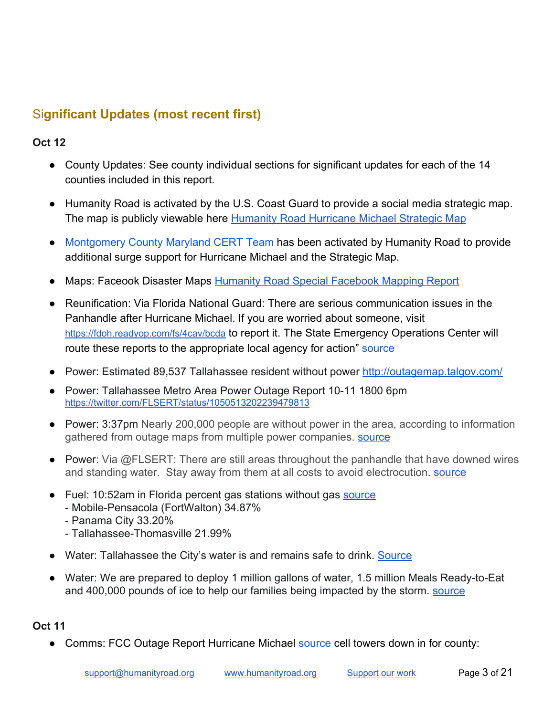# Si**gnificant Updates (most recent first)**

### **Oct 12**

- County Updates: See county individual sections for significant updates for each of the 14 counties included in this report.
- Humanity Road is activated by the U.S. Coast Guard to provide a social media strategic map. The map is publicly viewable here **[Humanity Road Hurricane Michael Strategic Map](http://humanityroad.maps.arcgis.com/apps/View/index.html?appid=b83aa4ded8cf4ebe8f82f43446c59552)**
- [Montgomery County Maryland CERT Team](http://montgomerycert.org/) has been activated by Humanity Road to provide additional surge support for Hurricane Michael and the Strategic Map.
- Maps: Faceook Disaster Maps [Humanity Road Special Facebook Mapping Report](https://docs.google.com/document/d/1HD0bACyFTN_c7Qn5dcl6Hn38d_zeE7ncoRSNZmfOlJM/edit#heading=h.nkhqf8lucal5)
- Reunification: Via Florida National Guard: There are serious communication issues in the Panhandle after Hurricane Michael. If you are worried about someone, visit <https://fdoh.readyop.com/fs/4cav/bcda> to report it. The State Emergency Operations Center will route these reports to the appropriate local agency for action" [source](https://t.co/phE3u1pIxF)
- Power: Estimated 89,537 Tallahassee resident without power<http://outagemap.talgov.com/>
- Power: Tallahassee Metro Area Power Outage Report 10-11 1800 6pm <https://twitter.com/FLSERT/status/1050513202239479813>P
- Power: 3:37pm Nearly 200,000 people are without power in the area, according to information gathered from outage maps from multiple power companies. [source](https://www.mypanhandle.com/news/hurricane-michael-power-outages-near-200-000/1513435023)
- Power: Via @FLSERT: There are still areas throughout the panhandle that have downed wires and standing water. Stay away from them at all costs to avoid electrocution. **Source**
- Fuel: 10:52am in Florida percent gas stations without gas [source](https://t.co/XXBOgtOFIs) - Mobile-Pensacola (FortWalton) 34.87%
	- Panama City 33.20%
	- Tallahassee-Thomasville 21.99%
- Water: Tallahassee the City's water is and remains safe to drink. [Source](https://twitter.com/COTNews/status/1050687565857087490)
- Water: We are prepared to deploy 1 million gallons of water, 1.5 million Meals Ready-to-Eat and 400,000 pounds of ice to help our families being impacted by the storm. **Source**

### **Oct 11**

• Comms: FCC Outage Report Hurricane Michael [source](https://www.fcc.gov/document/hurricane-michael-communications-status-report-october-11-2018) cell towers down in for county: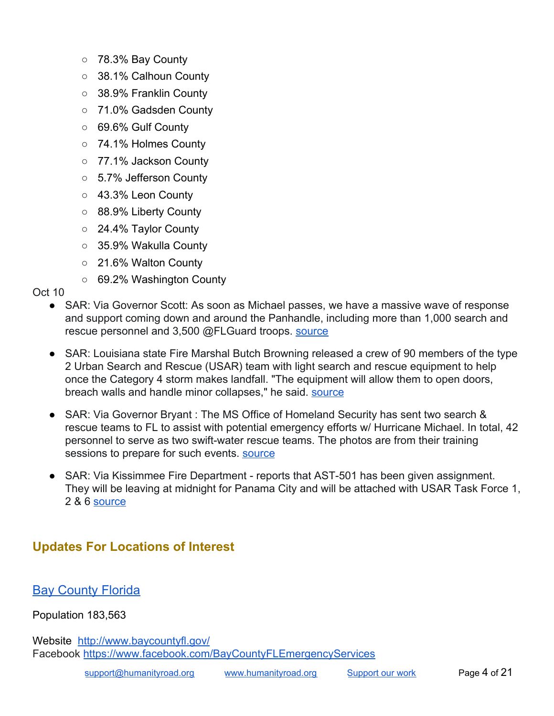- 78.3% Bay County
- 38.1% Calhoun County
- 38.9% Franklin County
- 71.0% Gadsden County
- 69.6% Gulf County
- 74.1% Holmes County
- 77.1% Jackson County
- 5.7% Jefferson County
- 43.3% Leon County
- 88.9% Liberty County
- 24.4% Taylor County
- 35.9% Wakulla County
- 21.6% Walton County
- 69.2% Washington County

Oct 10

- SAR: Via Governor Scott: As soon as Michael passes, we have a massive wave of response and support coming down and around the Panhandle, including more than 1,000 search and rescue personnel and 3,500 @FLGuard troops. [source](https://twitter.com/FLGovScott/status/1050036860649648130)
- SAR: Louisiana state Fire Marshal Butch Browning released a crew of 90 members of the type 2 Urban Search and Rescue (USAR) team with light search and rescue equipment to help once the Category 4 storm makes landfall. "The equipment will allow them to open doors, breach walls and handle minor collapses," he said. [source](https://www.livingstonparishnews.com/news/louisiana-state-fire-marshal-sends-usar-team-to-assist-florida/article_16a2c658-cc8f-11e8-84f2-abaed21df04e.html?utm_medium=social&utm_source=twitter&utm_campaign=user-share)
- SAR: Via Governor Bryant : The MS Office of Homeland Security has sent two search & rescue teams to FL to assist with potential emergency efforts w/ Hurricane Michael. In total, 42 personnel to serve as two swift-water rescue teams. The photos are from their training sessions to prepare for such events. [source](https://twitter.com/PhilBryantMS/status/1049778400745926657)
- SAR: Via Kissimmee Fire Department reports that AST-501 has been given assignment. They will be leaving at midnight for Panama City and will be attached with USAR Task Force 1, 2 & 6 [source](https://twitter.com/KissimmeeFire/status/1050084166094790656)

# <span id="page-3-0"></span>**Updates For Locations of Interest**

## <span id="page-3-1"></span>**Bay [County](http://www.baycountyfl.gov/) Florida**

Population 183,563

Website <http://www.baycountyfl.gov/> Facebook [https://www.facebook.com/BayCountyFLEmergencyServices](https://www.facebook.com/BayCountyFLEmergencyServices/videos/286928618819963/)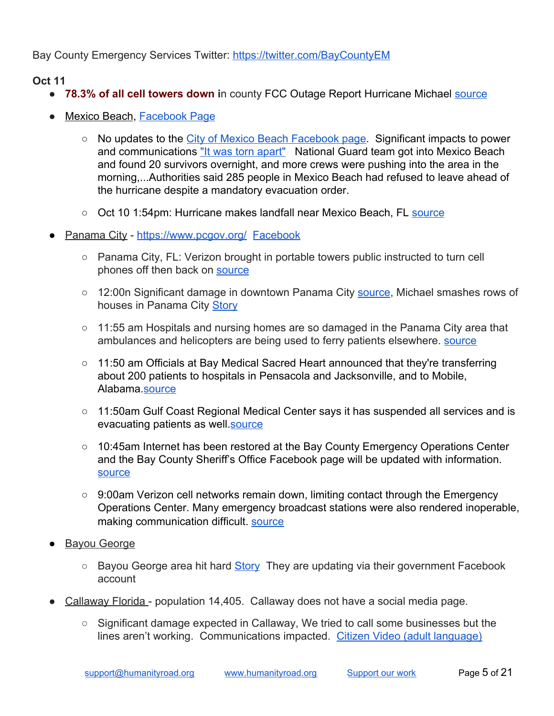Bay County Emergency Services Twitter:<https://twitter.com/BayCountyEM>

- **● 78.3% of all cell towers down i**n county FCC Outage Report Hurricane Michael [source](https://www.fcc.gov/document/hurricane-michael-communications-status-report-october-11-2018)
- Mexico Beach, [Facebook Page](https://www.facebook.com/pg/City-of-Mexico-Beach-279829973937/about/?ref=page_internal)
	- No updates to the [City of Mexico Beach Facebook page.](https://www.facebook.com/pg/City-of-Mexico-Beach-279829973937/about/?ref=page_internal) Significant impacts to power and communications ["It was torn apart"](https://www.cnn.com/videos/us/2018/10/11/myers-mexico-beach-hurricane-michael-reaction-vpx.cnn) National Guard team got into Mexico Beach and found 20 survivors overnight, and more crews were pushing into the area in the morning,...Authorities said 285 people in Mexico Beach had refused to leave ahead of the hurricane despite a mandatory evacuation order.
	- Oct 10 1:54pm: Hurricane makes landfall near Mexico Beach, FL [source](https://twitter.com/NHC_Atlantic/status/1050078015651241986)
- Panama City <https://www.pcgov.org/>[Facebook](https://www.facebook.com/CityOfPanamaCity)
	- Panama City, FL: Verizon brought in portable towers public instructed to turn cell phones off then back on [source](https://www.facebook.com/LagunaBeachFlorida/posts/2044201602311972)
	- 12:00n Significant damage in downtown Panama City [source](https://www.instagram.com/p/BozHJ2Cl43J/?utm_source=ig_twitter_share&igshid=mivu7fuynwyt), Michael smashes rows of houses in Panama City [Story](https://www.wnct.com/news/national/-unimaginable-destruction-michael-smashes-rows-of-houses-in-panama-city/1516510009)
	- 11:55 am Hospitals and nursing homes are so damaged in the Panama City area that ambulances and helicopters are being used to ferry patients elsewhere. [source](https://www.wnct.com/news/national/-unimaginable-destruction-michael-smashes-rows-of-houses-in-panama-city/1516510009)
	- 11:50 am Officials at Bay Medical Sacred Heart announced that they're transferring about 200 patients to hospitals in Pensacola and Jacksonville, and to Mobile, Alabama.[source](http://www.nbc29.com/story/39267540/the-latest-stretch-of-i-10-closed-for-debris-removal)
	- 11:50am Gulf Coast Regional Medical Center says it has suspended all services and is evacuating patients as well.[source](http://www.nbc29.com/story/39267540/the-latest-stretch-of-i-10-closed-for-debris-removal)
	- 10:45am Internet has been restored at the Bay County Emergency Operations Center and the Bay County Sheriff's Office Facebook page will be updated with information. [source](http://www.newsherald.com/news/20181011/fatalities-confirmed-in-panama-city-beach-panama-city-after-hurricane-michael)
	- 9:00am Verizon cell networks remain down, limiting contact through the Emergency Operations Center. Many emergency broadcast stations were also rendered inoperable, making communication difficult. [source](http://www.newsherald.com/news/20181011/fatalities-confirmed-in-panama-city-beach-panama-city-after-hurricane-michael)
- Bayou George
	- Bayou George area hit hard [Story](http://www.newsherald.com/news/20181010/bayou-george-area-hit-hard-by-michael) They are updating via their government Facebook account
- Callaway Florida population 14,405. Callaway does not have a social media page.
	- $\circ$  Significant damage expected in Callaway, We tried to call some businesses but the lines aren't working. Communications impacted. [Citizen Video \(adult language\)](https://www.cnn.com/us/live-news/tropical-storm-hurricane-michael-florida/h_e29f0009307be8d173013f14b677b708)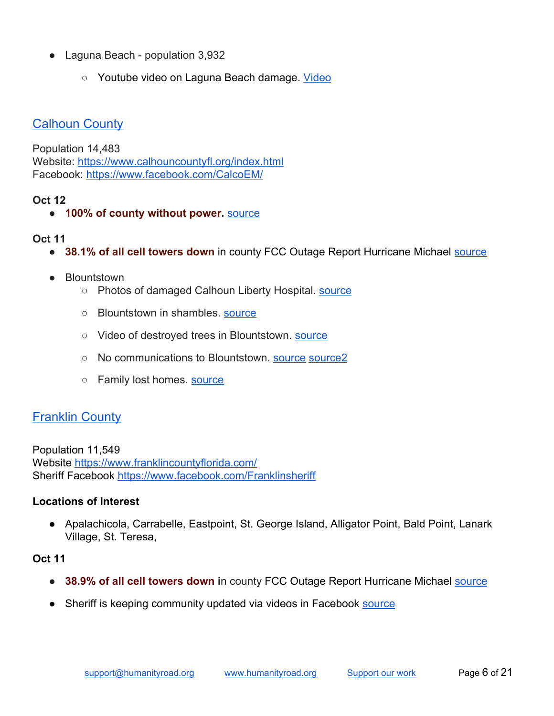- Laguna Beach population 3,932
	- Youtube video on Laguna Beach damage. [Video](https://www.youtube.com/watch?v=0RKsjibWEko)

## <span id="page-5-0"></span>**Calhoun County**

Population 14,483 Website: <https://www.calhouncountyfl.org/index.html> Facebook:<https://www.facebook.com/CalcoEM/>

### **Oct 12**

● **100% of county without power.** [source](https://twitter.com/FLJCC/status/1050699365071892481)

#### **Oct 11**

- **38.1% of all cell towers down** in county FCC Outage Report Hurricane Michael **[source](https://www.fcc.gov/document/hurricane-michael-communications-status-report-october-11-2018)**
- **Blountstown** 
	- Photos of damaged Calhoun Liberty Hospital. [source](https://www.facebook.com/barbara.pate1/posts/10215433980434525?__xts__[0]=68.ARCwh6McBjmuf8CqPW03JUPW6D5ey-icjsKtaiqDnQxfU6XRQ4mdAip80d6oBRnu7ULbP6N6ZIZilLzdu7b0lSjGvLpNlOHtocKQjPN8WDV6NLH5r6zLXF0QOxGZtIqE3--Yp03SsyTUgGpUeq680x41wAbyQ2PTVd_j_3nXCYhcsPF9oXem-d0&__tn__=-R)
	- Blountstown in shambles. [source](https://twitter.com/kodykpelham11/status/1050500016266207234)
	- Video of destroyed trees in Blountstown. [source](https://twitter.com/IvanTaylorTV/status/1050504422843912197)
	- No communications to Blountstown. [source](https://twitter.com/jreneemetcalf/status/1050488633923424256) [source2](https://twitter.com/LStoltzfusBrown/status/1050468448516665344)
	- Family lost homes. [source](https://twitter.com/TaylorBoisjolie/status/1050481309179662336)

## <span id="page-5-1"></span>**Franklin County**

Population 11,549 Website<https://www.franklincountyflorida.com/> Sheriff Facebook [https://www.facebook.com/Franklinsheriff](https://www.facebook.com/Franklinsheriff01/)

#### **Locations of Interest**

● Apalachicola, Carrabelle, Eastpoint, St. George Island, Alligator Point, Bald Point, Lanark Village, St. Teresa,

- **38.9% of all cell towers down i**n county FCC Outage Report Hurricane Michael [source](https://www.fcc.gov/document/hurricane-michael-communications-status-report-october-11-2018)
- Sheriff is keeping community updated via videos in Facebook [source](https://www.facebook.com/Franklinsheriff01/)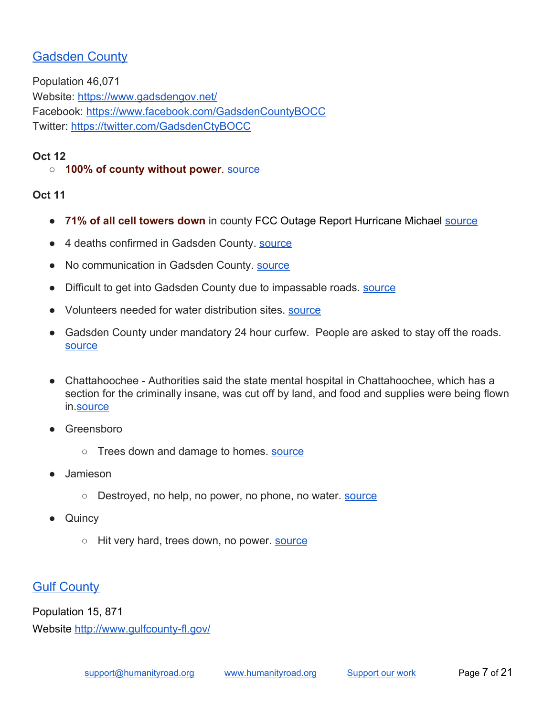# <span id="page-6-0"></span>Gadsden County

Population 46,071 Website: <https://www.gadsdengov.net/> Facebook:<https://www.facebook.com/GadsdenCountyBOCC> Twitter: <https://twitter.com/GadsdenCtyBOCC>

### **Oct 12**

### ○ **100% of county without power**. [source](https://twitter.com/FLJCC/status/1050699365071892481)

### **Oct 11**

- **71% of all cell towers down** in county FCC Outage Report Hurricane Michael [source](https://www.fcc.gov/document/hurricane-michael-communications-status-report-october-11-2018)
- 4 deaths confirmed in Gadsden County. **Source**
- No communication in Gadsden County. **Source**
- Difficult to get into Gadsden County due to impassable roads. [source](https://www.wctv.tv/content/news/After-Michael-Residents-picking-up-debris-in-Gadsden-County-497094931.html)
- Volunteers needed for water distribution sites. [source](https://www.facebook.com/GadsdenCountyBOCC/posts/2213973308626869?__xts__[0]=68.ARAGwXKVRbF-Nl8Bkg5Dy1xtb6SFlmNNH3x-fzU7-p2P8zSr5GaAEmTtUXqB7akfPwZE_wvwGSjnIBw2UU8S1qhNFfRkE23fqB7OLU_3iFHOkwwVOMV1uq-zcjDGiSpqFmX2X9V3XKEW6zrgV1wWAUvyGqFtjcuiARknDDd8AeaVBZwYt2QelQ&__tn__=-R)
- Gadsden County under mandatory 24 hour curfew. People are asked to stay off the roads. [source](https://www.facebook.com/GadsdenCountyBOCC/posts/2213126872044846?__xts__[0]=68.ARByfeayjBkFXmKRFi9CVFBsV80GPQeBuM3RVZFsJ0kFV10X1Fsivt9kdpd32Wyjj_Hk5A_I3hHBt3OLBHpxb2xZk786A9PCFYKQ2Gmr9xBZGX7LEZ4TmjuEjfbGK8QISWGWXh7Vg81h0W9_1ofRd_UJOUkSktjyhAWjujv0lnm7LFRrXbXu-A&__tn__=-R)
- Chattahoochee Authorities said the state mental hospital in Chattahoochee, which has a section for the criminally insane, was cut off by land, and food and supplies were being flown in.[source](https://www.wnct.com/news/national/-unimaginable-destruction-michael-smashes-rows-of-houses-in-panama-city/1516510009)
- Greensboro
	- Trees down and damage to homes. [source](https://www.wctv.tv/content/news/After-Michael-Residents-picking-up-debris-in-Gadsden-County-497094931.html)
- Jamieson
	- o Destroyed, no help, no power, no phone, no water. [source](https://www.facebook.com/GadsdenCountyBOCC/posts/2213126872044846?__xts__[0]=68.ARByfeayjBkFXmKRFi9CVFBsV80GPQeBuM3RVZFsJ0kFV10X1Fsivt9kdpd32Wyjj_Hk5A_I3hHBt3OLBHpxb2xZk786A9PCFYKQ2Gmr9xBZGX7LEZ4TmjuEjfbGK8QISWGWXh7Vg81h0W9_1ofRd_UJOUkSktjyhAWjujv0lnm7LFRrXbXu-A&__tn__=-R)
- **Quincy** 
	- Hit very hard, trees down, no power. **[source](https://www.facebook.com/GadsdenCountyBOCC/posts/2213126872044846?__xts__[0]=68.ARByfeayjBkFXmKRFi9CVFBsV80GPQeBuM3RVZFsJ0kFV10X1Fsivt9kdpd32Wyjj_Hk5A_I3hHBt3OLBHpxb2xZk786A9PCFYKQ2Gmr9xBZGX7LEZ4TmjuEjfbGK8QISWGWXh7Vg81h0W9_1ofRd_UJOUkSktjyhAWjujv0lnm7LFRrXbXu-A&__tn__=-R)**

## <span id="page-6-1"></span>**Gulf County**

Population 15, 871 Website<http://www.gulfcounty-fl.gov/>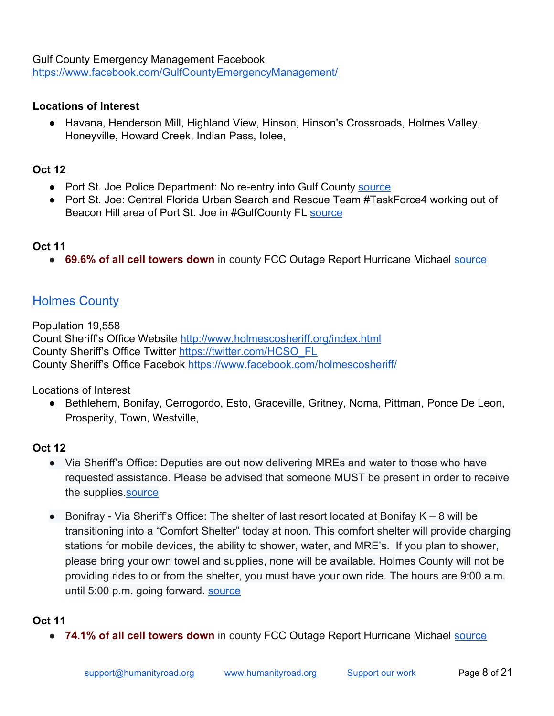Gulf County Emergency Management Facebook <https://www.facebook.com/GulfCountyEmergencyManagement/>

#### **Locations of Interest**

● Havana, Henderson Mill, Highland View, Hinson, Hinson's Crossroads, Holmes Valley, Honeyville, Howard Creek, Indian Pass, Iolee,

### **Oct 12**

- Port St. Joe Police Department: No re-entry into Gulf County [source](https://www.facebook.com/permalink.php?story_fbid=1957137390988641&id=108698369165895)
- Port St. Joe: Central Florida Urban Search and Rescue Team #TaskForce4 working out of Beacon Hill area of Port St. Joe in #GulfCounty FL [source](https://twitter.com/OCFireRescue/status/1050768123312427013)

#### **Oct 11**

**• 69.6% of all cell towers down** in county FCC Outage Report Hurricane Michael [source](https://www.fcc.gov/document/hurricane-michael-communications-status-report-october-11-2018)

## <span id="page-7-0"></span>**Holmes County**

Population 19,558 Count Sheriff's Office Website <http://www.holmescosheriff.org/index.html> County Sheriff's Office Twitter [https://twitter.com/HCSO\\_FL](https://twitter.com/HCSO_FL) County Sheriff's Office Facebok [https://www.facebook.com/holmescosheriff/](https://www.facebook.com/holmescosheriff/?hc_ref=ARTnoqsplE3-j2jgo09RStwasO6zmhIHRRYPikUyaXz0I5oRce1EfpkGN4k1jl1gBrI&__xts__[0]=68.ARBLp_QS0MmxtnvDaCeCx6Ogju5FqHERtQjZzdyXKytWKQTWO4cQliGBiEEmeUbB271Pli8xAUKQOBKMvE2OWzSIFmP93cn0c5L7q7TJu23VZiRj6bC_FKrGYC3jRkAID1HoWW6BFxULNb263qfPyfIHQtXIKdZyXanjjUplUar3YcCxUJMrBg&__tn__=kC-R)

Locations of Interest

● Bethlehem, Bonifay, Cerrogordo, Esto, Graceville, Gritney, Noma, Pittman, Ponce De Leon, Prosperity, Town, Westville,

### **Oct 12**

- Via Sheriff's Office: Deputies are out now delivering MREs and water to those who have requested assistance. Please be advised that someone MUST be present in order to receive the supplies.[source](https://twitter.com/HCSO_FL/status/1050782148364521473)
- Bonifray Via Sheriff's Office: The shelter of last resort located at Bonifay K 8 will be transitioning into a "Comfort Shelter" today at noon. This comfort shelter will provide charging stations for mobile devices, the ability to shower, water, and MRE's. If you plan to shower, please bring your own towel and supplies, none will be available. Holmes County will not be providing rides to or from the shelter, you must have your own ride. The hours are 9:00 a.m. until 5:00 p.m. going forward. [source](https://www.facebook.com/holmescosheriff/posts/1940578452632187?__xts__[0]=68.ARD_N8lMNk7Fe-LTcplKGgeoP9KZ5Ob2xqvr9SlQEGbTqS794Htc7NX708Sy7szeJ312GgpIOV2qgF7WEoDDDBPJqvawTcbbW_ZRUb2wunR9YVdgzBaMuPFKkfaiphO9hDEpFLVFBD8XF71pRG4J6w-yFd-CBXNEmTTzL4OQ0dmAJ17y6kiXbQ&__tn__=-R)

### **Oct 11**

**• 74.1% of all cell towers down** in county FCC Outage Report Hurricane Michael **source**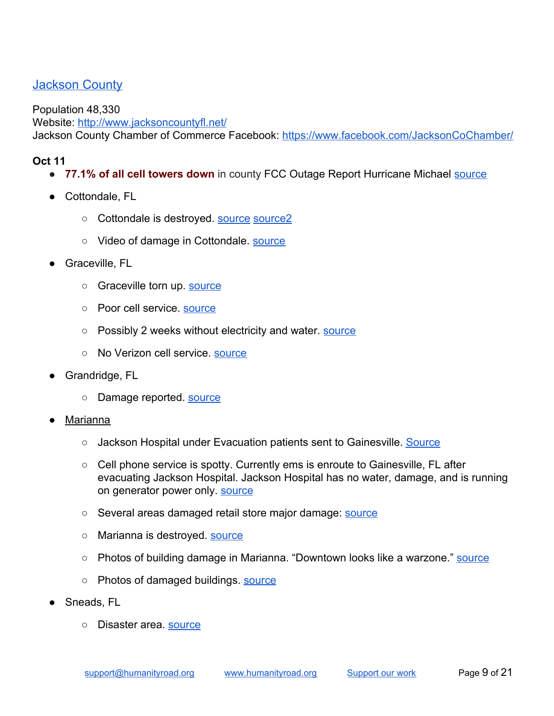## <span id="page-8-0"></span>Jackson County

Population 48,330 Website: <http://www.jacksoncountyfl.net/> Jackson County Chamber of Commerce Facebook: <https://www.facebook.com/JacksonCoChamber/>

- **77.1% of all cell towers down** in county FCC Outage Report Hurricane Michael **source**
- Cottondale, FL
	- Cottondale is destroyed. **[source](https://twitter.com/1elizabethc/status/1050485204656279552) [source2](https://twitter.com/Thatgirl_Payhen/status/1050423075085475840)**
	- Video of damage in Cottondale. **Source**
- Graceville, FL
	- Graceville torn up. [source](https://twitter.com/kodykpelham11/status/1050500016266207234)
	- Poor cell service. [source](https://twitter.com/ThomasC27087779/status/1050498221364121601)
	- Possibly 2 weeks without electricity and water. [source](https://twitter.com/ThomasC27087779/status/1050498221364121601)
	- No Verizon cell service. [source](https://twitter.com/karacampbell7/status/1050458582335021058)
- Grandridge, FL
	- o Damage reported. [source](https://twitter.com/FloridaMadeLady/status/1050679264746528769)
- Marianna
	- Jackson Hospital under Evacuation patients sent to Gainesville. [Source](https://www.facebook.com/GraingerEMS/videos/159555561651187/?t=0)
	- Cell phone service is spotty. Currently ems is enroute to Gainesville, FL after evacuating Jackson Hospital. Jackson Hospital has no water, damage, and is running on generator power only. **SOUTCE**
	- Several areas damaged retail store major damage: [source](https://twitter.com/jillgilardi/status/1050412251935625216)
	- Marianna is destroyed. [source](https://twitter.com/kodykpelham11/status/1050500016266207234)
	- Photos of building damage in Marianna. "Downtown looks like a warzone." [source](https://www.facebook.com/maryellen.phillips1/posts/2758342987525038)
	- Photos of damaged buildings. [source](https://twitter.com/StormVisuals/status/1050471762062925825)
- Sneads, FL
	- Disaster area. [source](https://twitter.com/FloridaMadeLady/status/1050679264746528769)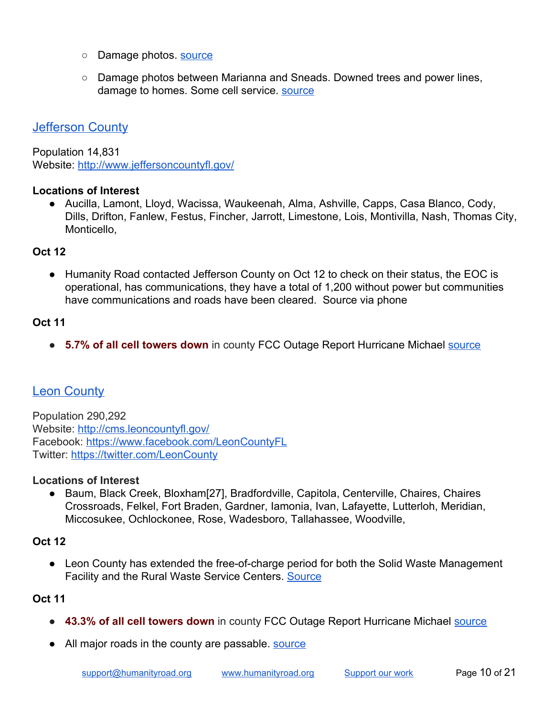- Damage photos. [source](https://twitter.com/itsonlylele5/status/1050454918916661256)
- Damage photos between Marianna and Sneads. Downed trees and power lines, damage to homes. Some cell service. [source](https://www.facebook.com/100000966482327/posts/2180425021999693/)

### <span id="page-9-0"></span>Jefferson County

Population 14,831 Website: <http://www.jeffersoncountyfl.gov/>

#### **Locations of Interest**

● Aucilla, Lamont, Lloyd, Wacissa, Waukeenah, Alma, Ashville, Capps, Casa Blanco, Cody, Dills, Drifton, Fanlew, Festus, Fincher, Jarrott, Limestone, Lois, Montivilla, Nash, Thomas City, Monticello,

#### **Oct 12**

● Humanity Road contacted Jefferson County on Oct 12 to check on their status, the EOC is operational, has communications, they have a total of 1,200 without power but communities have communications and roads have been cleared. Source via phone

#### **Oct 11**

● **5.7% of all cell towers down** in county FCC Outage Report Hurricane Michael [source](https://www.fcc.gov/document/hurricane-michael-communications-status-report-october-11-2018)

## <span id="page-9-1"></span>**Leon County**

Population 290,292 Website: <http://cms.leoncountyfl.gov/> Facebook:<https://www.facebook.com/LeonCountyFL> Twitter: <https://twitter.com/LeonCounty>

#### **Locations of Interest**

● Baum, Black Creek, Bloxham[27], Bradfordville, Capitola, Centerville, Chaires, Chaires Crossroads, Felkel, Fort Braden, Gardner, Iamonia, Ivan, Lafayette, Lutterloh, Meridian, Miccosukee, Ochlockonee, Rose, Wadesboro, Tallahassee, Woodville,

#### **Oct 12**

● Leon County has extended the free-of-charge period for both the Solid Waste Management Facility and the Rural Waste Service Centers. [Source](https://content.govdelivery.com/accounts/FLLEON/bulletins/213cdfd)

- **43.3% of all cell towers down** in county FCC Outage Report Hurricane Michael **source**
- All major roads in the county are passable. **Source**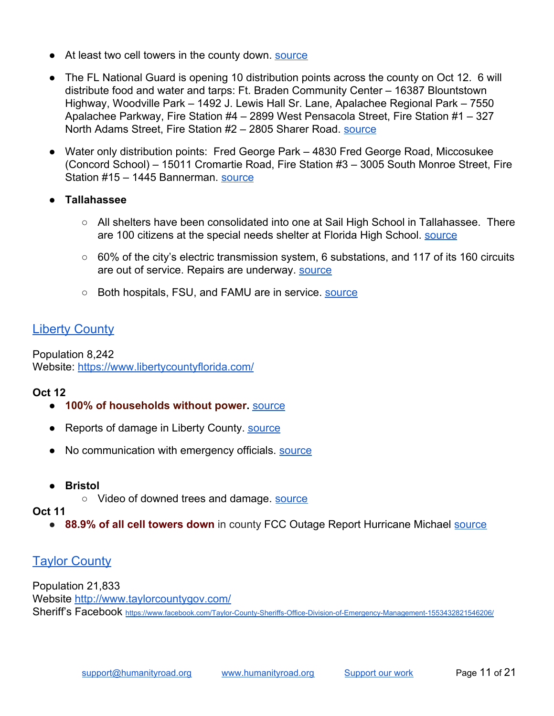- At least two cell towers in the county down. [source](https://content.govdelivery.com/accounts/FLLEON/bulletins/213b401)
- The FL National Guard is opening 10 distribution points across the county on Oct 12. 6 will distribute food and water and tarps: Ft. Braden Community Center – 16387 Blountstown Highway, Woodville Park – 1492 J. Lewis Hall Sr. Lane, Apalachee Regional Park – 7550 Apalachee Parkway, Fire Station #4 – 2899 West Pensacola Street, Fire Station #1 – 327 North Adams Street, Fire Station #2 – 2805 Sharer Road. [source](https://content.govdelivery.com/accounts/FLLEON/bulletins/213b401)
- Water only distribution points: Fred George Park 4830 Fred George Road, Miccosukee (Concord School) – 15011 Cromartie Road, Fire Station #3 – 3005 South Monroe Street, Fire Station #15 – 1445 Bannerman. [source](https://content.govdelivery.com/accounts/FLLEON/bulletins/213b401)
- **● Tallahassee**
	- All shelters have been consolidated into one at Sail High School in Tallahassee. There are 100 citizens at the special needs shelter at Florida High School. [source](https://content.govdelivery.com/accounts/FLLEON/bulletins/213b401)
	- 60% of the city's electric transmission system, 6 substations, and 117 of its 160 circuits are out of service. Repairs are underway. [source](https://content.govdelivery.com/accounts/FLLEON/bulletins/213b401)
	- Both hospitals, FSU, and FAMU are in service. [source](https://content.govdelivery.com/accounts/FLLEON/bulletins/213b401)

# <span id="page-10-0"></span>**Liberty County**

Population 8,242 Website: <https://www.libertycountyflorida.com/>

### **Oct 12**

- **100% of households without power.** [source](https://twitter.com/FLJCC/status/1050699365071892481)
- Reports of damage in Liberty County. [source](https://twitter.com/dennistanton19/status/1050723523608633344)
- No communication with emergency officials. **Source**
- **● Bristol**
	- Video of downed trees and damage. [source](https://twitter.com/CBSEveningNews/status/1050617130675126279)

#### **Oct 11**

● **88.9% of all cell towers down** in county FCC Outage Report Hurricane Michael [source](https://www.fcc.gov/document/hurricane-michael-communications-status-report-october-11-2018)

## <span id="page-10-1"></span>**Taylor County**

Population 21,833 Website<http://www.taylorcountygov.com/> Sheriff's Facebook <https://www.facebook.com/Taylor-County-Sheriffs-Office-Division-of-Emergency-Management-1553432821546206/>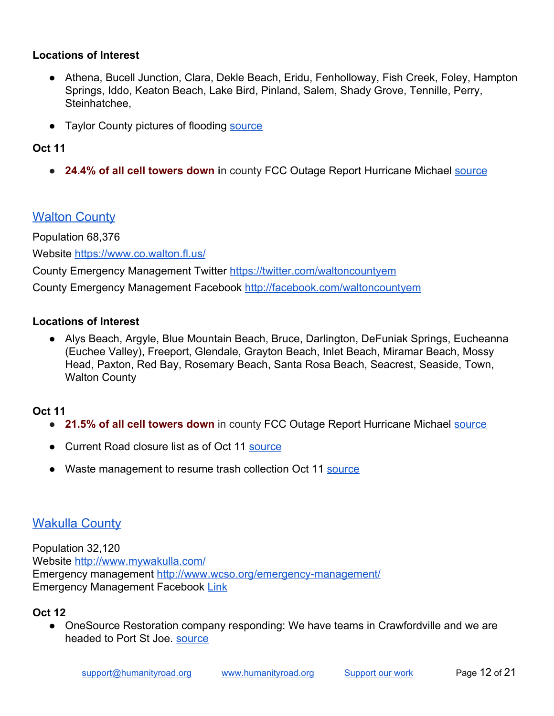#### **Locations of Interest**

- Athena, Bucell Junction, Clara, Dekle Beach, Eridu, Fenholloway, Fish Creek, Foley, Hampton Springs, Iddo, Keaton Beach, Lake Bird, Pinland, Salem, Shady Grove, Tennille, Perry, Steinhatchee,
- Taylor County pictures of flooding [source](https://www.facebook.com/ApalacheeInshore/posts/1133173650185004)

## **Oct 11**

● **24.4% of all cell towers down i**n county FCC Outage Report Hurricane Michael [source](https://www.fcc.gov/document/hurricane-michael-communications-status-report-october-11-2018)

## <span id="page-11-0"></span>**Walton County**

Population 68,376

Website<https://www.co.walton.fl.us/>

County Emergency Management Twitter <https://twitter.com/waltoncountyem> County Emergency Management Facebook <http://facebook.com/waltoncountyem>

#### **Locations of Interest**

● Alys Beach, Argyle, Blue Mountain Beach, Bruce, Darlington, DeFuniak Springs, Eucheanna (Euchee Valley), Freeport, Glendale, Grayton Beach, Inlet Beach, Miramar Beach, Mossy Head, Paxton, Red Bay, Rosemary Beach, Santa Rosa Beach, Seacrest, Seaside, Town, Walton County

#### **Oct 11**

- **21.5% of all cell towers down** in county FCC Outage Report Hurricane Michael [source](https://www.fcc.gov/document/hurricane-michael-communications-status-report-october-11-2018)
- Current Road closure list as of Oct 11 [source](https://www.facebook.com/WaltonCountyEM/posts/2093006974096221)
- Waste management to resume trash collection Oct 11 [source](https://www.facebook.com/WaltonCountyEM/posts/2093395464057372?__xts__[0]=68.ARAYsUAKCUJkySjBBYLrN-82c-LnysJk1dp2auuxxxcnjYCGNB7WhjZxTVDinGLtuqnr0rKkLa03jck8_BOeLAcH5PAEoFGfRNGaiXNhAtR26Qg6aw8ECw1Bu_DjVmdQSbG9Qo2L65_s7Y48rbUJ0ykDCf1ynTo7KirfLNfw0a9CbiYuy33lXA&__tn__=-R)

# <span id="page-11-1"></span>Wakulla County

Population 32,120 Website<http://www.mywakulla.com/> Emergency management<http://www.wcso.org/emergency-management/> Emergency Management Facebook [Link](https://www.facebook.com/133036833383243/posts/2029888843698023)

#### **Oct 12**

● OneSource Restoration company responding: We have teams in Crawfordville and we are headed to Port St Joe. [source](https://twitter.com/OneSource_Res/status/1050760832680947713)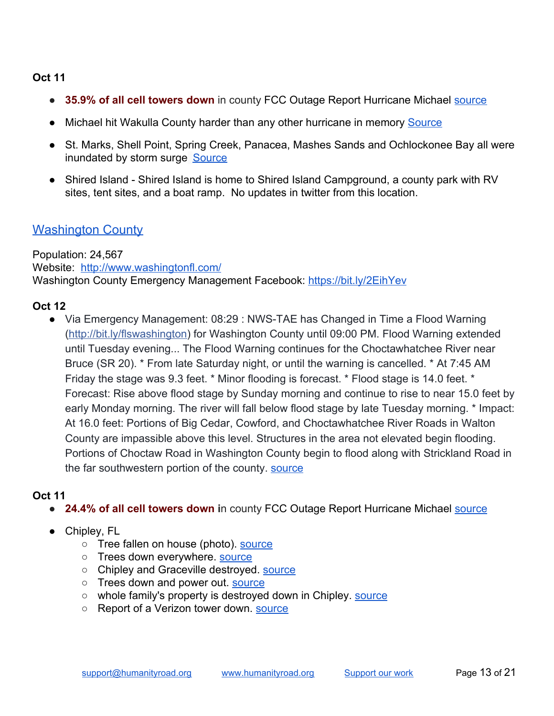#### **Oct 11**

- **35.9% of all cell towers down** in county FCC Outage Report Hurricane Michael [source](https://www.fcc.gov/document/hurricane-michael-communications-status-report-october-11-2018)
- Michael hit Wakulla County harder than any other hurricane in memory [Source](https://www.tallahassee.com/story/news/2018/10/11/michael-hit-wakulla-county-harder-than-any-other-hurricane-memory/1603787002/)
- St. Marks, Shell Point, Spring Creek, Panacea, Mashes Sands and Ochlockonee Bay all were inundated by storm surge [Source](https://www.tallahassee.com/story/news/2018/10/11/michael-hit-wakulla-county-harder-than-any-other-hurricane-memory/1603787002/)
- Shired Island Shired Island is home to Shired Island Campground, a county park with RV sites, tent sites, and a boat ramp. No updates in twitter from this location.

## <span id="page-12-0"></span>Washington County

Population: 24,567 Website: <http://www.washingtonfl.com/> Washington County Emergency Management Facebook:<https://bit.ly/2EihYev>

### **Oct 12**

● Via Emergency Management: 08:29 : NWS-TAE has Changed in Time a Flood Warning ([http://bit.ly/flswashington\)](https://bit.ly/flswashington) for Washington County until 09:00 PM. Flood Warning extended until Tuesday evening... The Flood Warning continues for the Choctawhatchee River near Bruce (SR 20). \* From late Saturday night, or until the warning is cancelled. \* At 7:45 AM Friday the stage was 9.3 feet. \* Minor flooding is forecast. \* Flood stage is 14.0 feet. \* Forecast: Rise above flood stage by Sunday morning and continue to rise to near 15.0 feet by early Monday morning. The river will fall below flood stage by late Tuesday morning. \* Impact: At 16.0 feet: Portions of Big Cedar, Cowford, and Choctawhatchee River Roads in Walton County are impassible above this level. Structures in the area not elevated begin flooding. Portions of Choctaw Road in Washington County begin to flood along with Strickland Road in the far southwestern portion of the county. [source](https://www.facebook.com/WaltonCountyEM/posts/2093006974096221)

- **24.4% of all cell towers down in county FCC Outage Report Hurricane Michael [source](https://www.fcc.gov/document/hurricane-michael-communications-status-report-october-11-2018)**
- Chipley, FL
	- Tree fallen on house (photo). [source](https://twitter.com/hollygregory33/status/1050512008754462720)
	- Trees down everywhere. [source](https://twitter.com/andrewjeffries8/status/1050488205710118912)
	- Chipley and Graceville destroyed. [source](https://twitter.com/andrewjeffries8/status/1050487786623655937)
	- Trees down and power out. [source](https://twitter.com/1elizabethc/status/1050485204656279552)
	- whole family's property is destroyed down in Chipley. **source**
	- Report of a Verizon tower down. [source](https://twitter.com/Nellers25/status/1050427194479206403)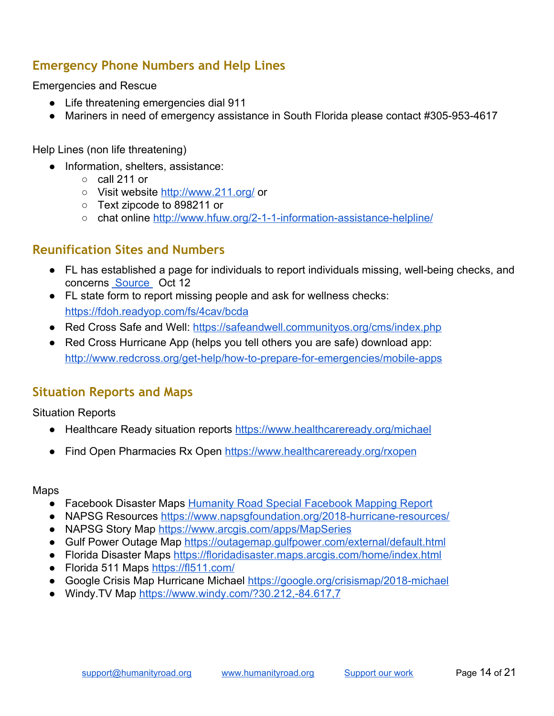## <span id="page-13-0"></span>**Emergency Phone Numbers and Help Lines**

Emergencies and Rescue

- Life threatening emergencies dial 911
- Mariners in need of emergency assistance in South Florida please contact #305-953-4617

Help Lines (non life threatening)

- Information, shelters, assistance:
	- $\circ$  call 211 or
	- Visit website <http://www.211.org/> or
	- Text zipcode to 898211 or
	- chat online <http://www.hfuw.org/2-1-1-information-assistance-helpline/>

## <span id="page-13-1"></span>**Reunification Sites and Numbers**

- FL has established a page for individuals to report individuals missing, well-being checks, and concerns [Source](https://t.co/phE3u1pIxF) Oct 12
- FL state form to report missing people and ask for wellness checks: <https://fdoh.readyop.com/fs/4cav/bcda>
- Red Cross Safe and Well: <https://safeandwell.communityos.org/cms/index.php>
- Red Cross Hurricane App (helps you tell others you are safe) download app: <http://www.redcross.org/get-help/how-to-prepare-for-emergencies/mobile-apps>

## <span id="page-13-2"></span>**Situation Reports and Maps**

Situation Reports

- Healthcare Ready situation reports <https://www.healthcareready.org/michael>
- Find Open Pharmacies Rx Open <https://www.healthcareready.org/rxopen>

Maps

- Facebook Disaster Maps [Humanity Road Special Facebook Mapping Report](https://docs.google.com/document/d/1HD0bACyFTN_c7Qn5dcl6Hn38d_zeE7ncoRSNZmfOlJM/edit#heading=h.nkhqf8lucal5)
- NAPSG Resources <https://www.napsgfoundation.org/2018-hurricane-resources/>
- NAPSG Story Map [https://www.arcgis.com/apps/MapSeries](https://www.arcgis.com/apps/MapSeries/index.html?appid=61952ebf539f4bf1941a9e24e0bc277b)
- Gulf Power Outage Map <https://outagemap.gulfpower.com/external/default.html>
- Florida Disaster Maps <https://floridadisaster.maps.arcgis.com/home/index.html>
- Florida 511 Maps <https://fl511.com/>
- Google Crisis Map Hurricane Michael <https://google.org/crisismap/2018-michael>
- Windy. TV Map <https://www.windy.com/?30.212,-84.617,7>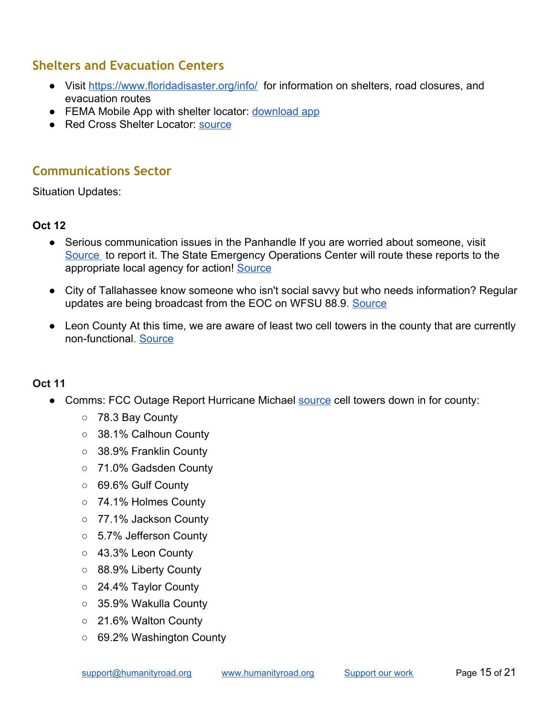# <span id="page-14-0"></span>**Shelters and Evacuation Centers**

- Visit <https://www.floridadisaster.org/info/>for information on shelters, road closures, and evacuation routes
- FEMA Mobile App with shelter locator: [download app](https://www.fema.gov/mobile-app)
- Red Cross Shelter Locator: [source](http://www.redcross.org/get-help/disaster-relief-and-recovery-services/find-an-open-shelter?utm_source=arctwitter&utm_medium=social&utm_campaign=harvey)

# <span id="page-14-1"></span>**Communications Sector**

Situation Updates:

## **Oct 12**

- Serious communication issues in the Panhandle If you are worried about someone, visit [Source](https://t.co/Wr20tNe8Q1) to report it. The State Emergency Operations Center will route these reports to the appropriate local agency for action! [Source](https://twitter.com/FLGuard/status/1050497368188162048)
- City of Tallahassee know someone who isn't social savvy but who needs information? Regular updates are being broadcast from the EOC on WFSU 88.9. [Source](https://twitter.com/COTNews/status/1050651533937803265)
- Leon County At this time, we are aware of least two cell towers in the county that are currently non-functional. [Source](https://twitter.com/LeonCounty/status/1050662651288670208)

- Comms: FCC Outage Report Hurricane Michael **[source](https://www.fcc.gov/document/hurricane-michael-communications-status-report-october-11-2018)** cell towers down in for county:
	- 78.3 Bay County
	- 38.1% Calhoun County
	- 38.9% Franklin County
	- 71.0% Gadsden County
	- 69.6% Gulf County
	- 74.1% Holmes County
	- 77.1% Jackson County
	- 5.7% Jefferson County
	- 43.3% Leon County
	- 88.9% Liberty County
	- 24.4% Taylor County
	- 35.9% Wakulla County
	- 21.6% Walton County
	- 69.2% Washington County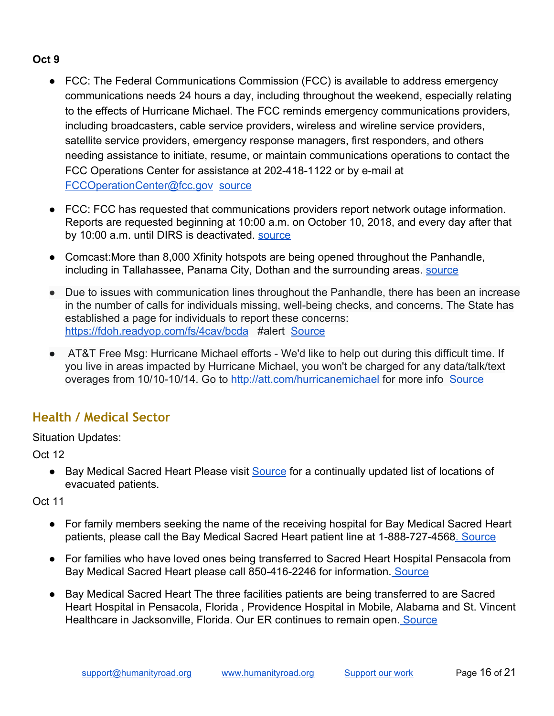## **Oct 9**

- FCC: The Federal Communications Commission (FCC) is available to address emergency communications needs 24 hours a day, including throughout the weekend, especially relating to the effects of Hurricane Michael. The FCC reminds emergency communications providers, including broadcasters, cable service providers, wireless and wireline service providers, satellite service providers, emergency response managers, first responders, and others needing assistance to initiate, resume, or maintain communications operations to contact the FCC Operations Center for assistance at 202-418-1122 or by e-mail at [FCCOperationCenter@fcc.gov](mailto:FCCOperationCenter@fcc.gov) [source](https://www.fcc.gov/document/fcc-assistance-hurricane-michael-emergencies-available-247)
- FCC: FCC has requested that communications providers report network outage information. Reports are requested beginning at 10:00 a.m. on October 10, 2018, and every day after that by 10:00 a.m. until DIRS is deactivated. [source](https://www.fcc.gov/document/fcc-activates-disaster-information-reporting-hurricane-michael)
- Comcast: More than 8,000 Xfinity hotspots are being opened throughout the Panhandle, including in Tallahassee, Panama City, Dothan and the surrounding areas. [source](https://www.tallahassee.com/story/news/2018/10/09/xfinity-opens-wifi-hotspots-non-customers-ahead-hurricane-michael/1578795002/)
- Due to issues with communication lines throughout the Panhandle, there has been an increase in the number of calls for individuals missing, well-being checks, and concerns. The State has established a page for individuals to report these concerns: <https://fdoh.readyop.com/fs/4cav/bcda> #alert [Source](https://twitter.com/FLSERT/status/1050517955530948609)
- AT&T Free Msg: Hurricane Michael efforts We'd like to help out during this difficult time. If you live in areas impacted by Hurricane Michael, you won't be charged for any data/talk/text overages from 10/10-10/14. Go to <http://att.com/hurricanemichael> for more info [Source](https://twitter.com/WJHG_TV/status/1050501062858338304)

# <span id="page-15-0"></span>**Health / Medical Sector**

Situation Updates:

Oct 12

• [Bay Medical Sacred Heart](https://twitter.com/baymedicalctr) Please visit [Source](https://t.co/4DFsPTE3yg) for a continually updated list of locations of evacuated patients.

- For family members seeking the name of the receiving hospital for Bay Medical Sacred Heart patients, please call the Bay Medical Sacred Heart patient line at 1-888-727-4568. [Source](https://twitter.com/baymedicalctr/status/1050379962979667970)
- For families who have loved ones being transferred to Sacred Heart Hospital Pensacola from Bay Medical Sacred Heart please call 850-416-2246 for information. [Source](https://twitter.com/baymedicalctr/status/1050380050665754624)
- [Bay Medical Sacred Heart](https://twitter.com/baymedicalctr) The three facilities patients are being transferred to are Sacred Heart Hospital in Pensacola, Florida , Providence Hospital in Mobile, Alabama and St. Vincent Healthcare in Jacksonville, Florida. Our ER continues to remain open. [Source](https://twitter.com/baymedicalctr/status/1050405154938388480)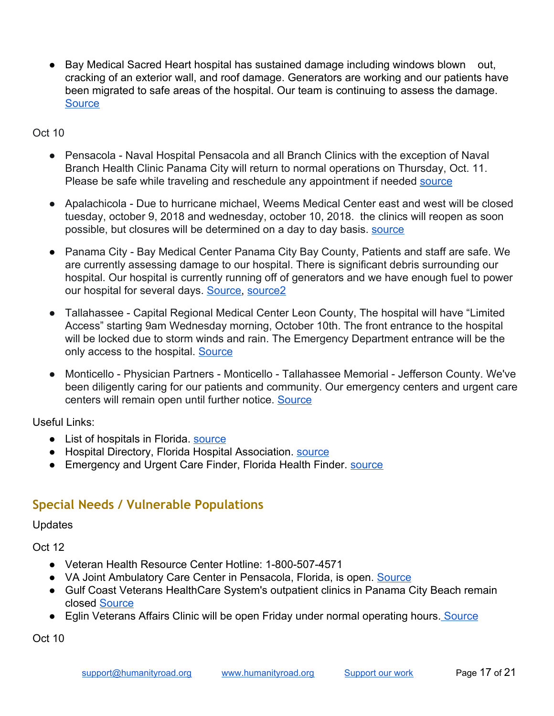[Bay Medical Sacred Heart](https://twitter.com/baymedicalctr) hospital has sustained damage including windows blown out, cracking of an exterior wall, and roof damage. Generators are working and our patients have been migrated to safe areas of the hospital. Our team is continuing to assess the damage. **[Source](https://twitter.com/baymedicalctr/status/1050125335528914944)** 

### Oct 10

- Pensacola Naval Hospital Pensacola and all Branch Clinics with the exception of Naval Branch Health Clinic Panama City will return to normal operations on Thursday, Oct. 11. Please be safe while traveling and reschedule any appointment if needed [source](https://twitter.com/NAVHOSPPCOLA/status/1050116590430248961)
- Apalachicola Due to hurricane michael, Weems Medical Center east and west will be closed tuesday, october 9, 2018 and wednesday, october 10, 2018. the clinics will reopen as soon possible, but closures will be determined on a day to day basis. [source](http://www.weemsmemorial.com/)
- Panama City Bay Medical Center Panama City Bay County, Patients and staff are safe. We are currently assessing damage to our hospital. There is significant debris surrounding our hospital. Our hospital is currently running off of generators and we have enough fuel to power our hospital for several days. [Source,](https://twitter.com/baymedicalctr/status/1050088627424903170) [source2](https://twitter.com/baymedicalctr/status/1050095695569539072)
- Tallahassee Capital Regional Medical Center Leon County, The hospital will have "Limited Access" starting 9am Wednesday morning, October 10th. The front entrance to the hospital will be locked due to storm winds and rain. The Emergency Department entrance will be the only access to the hospital. [Source](https://capitalregionalmedicalcenter.com/health-info/hurricane-preparedness/)
- Monticello Physician Partners Monticello Tallahassee Memorial Jefferson County. We've been diligently caring for our patients and community. Our emergency centers and urgent care centers will remain open until further notice. [Source](https://twitter.com/TMHFORLIFE/status/1049714617826648067)

Useful Links:

- List of hospitals in Florida. [source](https://en.wikipedia.org/wiki/List_of_hospitals_in_Florida)
- Hospital Directory, Florida Hospital Association. **Source**
- Emergency and Urgent Care Finder, Florida Health Finder. [source](http://www.floridahealthfinder.gov/reports-guides/urgent-care-guide.aspx)

# <span id="page-16-0"></span>**Special Needs / Vulnerable Populations**

Updates

Oct 12

- Veteran Health Resource Center Hotline: 1-800-507-4571
- VA Joint Ambulatory Care Center in Pensacola, Florida, is open. [Source](https://weartv.com/news/local/eglins-va-clinic-reopens)
- Gulf Coast Veterans HealthCare System's outpatient clinics in Panama City Beach remain closed [Source](https://weartv.com/news/local/eglins-va-clinic-reopens)
- Eglin Veterans Affairs Clinic will be open Friday under normal operating hours. [Source](https://weartv.com/news/local/eglins-va-clinic-reopens)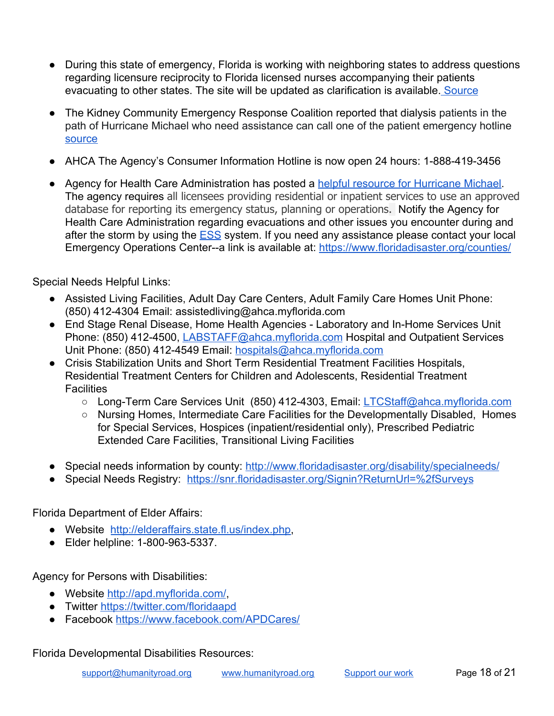- During this state of emergency, Florida is working with neighboring states to address questions regarding licensure reciprocity to Florida licensed nurses accompanying their patients evacuating to other states. The site will be updated as clarification is available. [Source](https://ahca.myflorida.com/MCHQ/Emergency_Activities/michael_2018.shtml)
- The Kidney Community Emergency Response Coalition reported that dialysis patients in the path of Hurricane Michael who need assistance can call one of the patient emergency hotline [source](https://twitter.com/KCERprogram/statuses/1050132634620301312)
- AHCA The Agency's Consumer Information Hotline is now open 24 hours: 1-888-419-3456
- Agency for Health Care Administration has posted a [helpful resource for Hurricane Michael](https://ahca.myflorida.com/MCHQ/Emergency_Activities/michael_2018.shtml). The agency requires all licensees providing residential or inpatient services to use an approved database for reporting its emergency status, planning or operations. Notify the Agency for Health Care Administration regarding evacuations and other issues you encounter during and after the storm by using the [ESS](https://apps.ahca.myflorida.com/Ess/) system. If you need any assistance please contact your local Emergency Operations Center--a link is available at:<https://www.floridadisaster.org/counties/>

Special Needs Helpful Links:

- Assisted Living Facilities, Adult Day Care Centers, Adult Family Care Homes Unit Phone: (850) 412-4304 Email: assistedliving@ahca.myflorida.com
- End Stage Renal Disease, Home Health Agencies Laboratory and In-Home Services Unit Phone: (850) 412-4500, [LABSTAFF@ahca.myflorida.com](mailto:LABSTAFF@ahca.myflorida.com) Hospital and Outpatient Services Unit Phone: (850) 412-4549 Email: [hospitals@ahca.myflorida.com](mailto:hospitals@ahca.myflorida.com)
- Crisis Stabilization Units and Short Term Residential Treatment Facilities Hospitals, Residential Treatment Centers for Children and Adolescents, Residential Treatment **Facilities** 
	- Long-Term Care Services Unit (850) 412-4303, Email: [LTCStaff@ahca.myflorida.com](mailto:LTCStaff@ahca.myflorida.com)
	- Nursing Homes, Intermediate Care Facilities for the Developmentally Disabled, Homes for Special Services, Hospices (inpatient/residential only), Prescribed Pediatric Extended Care Facilities, Transitional Living Facilities
- Special needs information by county: <http://www.floridadisaster.org/disability/specialneeds/>
- Special Needs Registry: <https://snr.floridadisaster.org/Signin?ReturnUrl=%2fSurveys>

Florida Department of Elder Affairs:

- Website [http://elderaffairs.state.fl.us/index.php,](http://elderaffairs.state.fl.us/index.php)
- Elder helpline: 1-800-963-5337.

Agency for Persons with Disabilities:

- Website<http://apd.myflorida.com/>
- Twitter<https://twitter.com/floridaapd>
- Facebook<https://www.facebook.com/APDCares/>

Florida Developmental Disabilities Resources: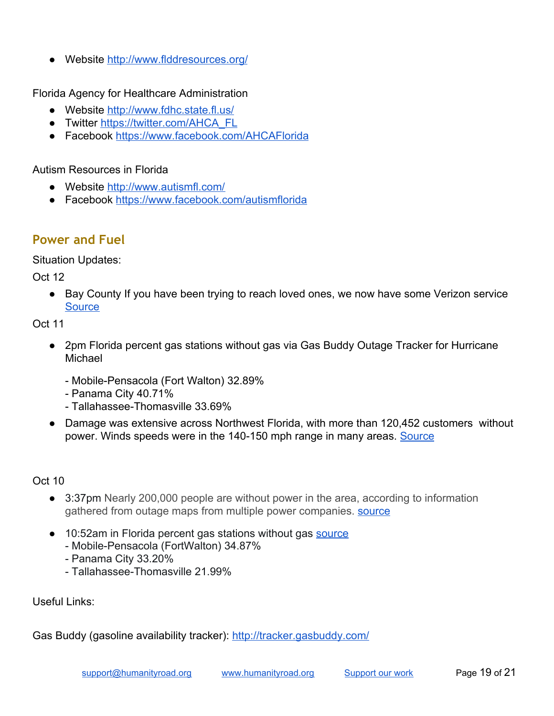Website<http://www.flddresources.org/>

Florida Agency for Healthcare Administration

- Website<http://www.fdhc.state.fl.us/>
- Twitter [https://twitter.com/AHCA\\_FL](https://twitter.com/AHCA_FL)
- Facebook<https://www.facebook.com/AHCAFlorida>

#### Autism Resources in Florida

- Website<http://www.autismfl.com/>
- Facebook<https://www.facebook.com/autismflorida>

## <span id="page-18-0"></span>**Power and Fuel**

Situation Updates:

Oct 12

● Bay County If you have been trying to reach loved ones, we now have some Verizon service **[Source](https://twitter.com/BayDistSchools/status/1050565922208055296)** 

Oct 11

- 2pm Florida percent gas stations without gas via Gas Buddy Outage Tracker for Hurricane Michael
	- Mobile-Pensacola (Fort Walton) 32.89%
	- Panama City 40.71%
	- Tallahassee-Thomasville 33.69%
- Damage was extensive across Northwest Florida, with more than 120,452 customers without power. Winds speeds were in the 140-150 mph range in many areas. [Source](https://twitter.com/GulfPower/status/1050264744253419520)

Oct 10

- 3:37pm Nearly 200,000 people are without power in the area, according to information gathered from outage maps from multiple power companies. **Source**
- 10:52am in Florida percent gas stations without gas [source](https://t.co/XXBOgtOFIs)
	- Mobile-Pensacola (FortWalton) 34.87%
	- Panama City 33.20%
	- Tallahassee-Thomasville 21.99%

Useful Links:

Gas Buddy (gasoline availability tracker):<http://tracker.gasbuddy.com/>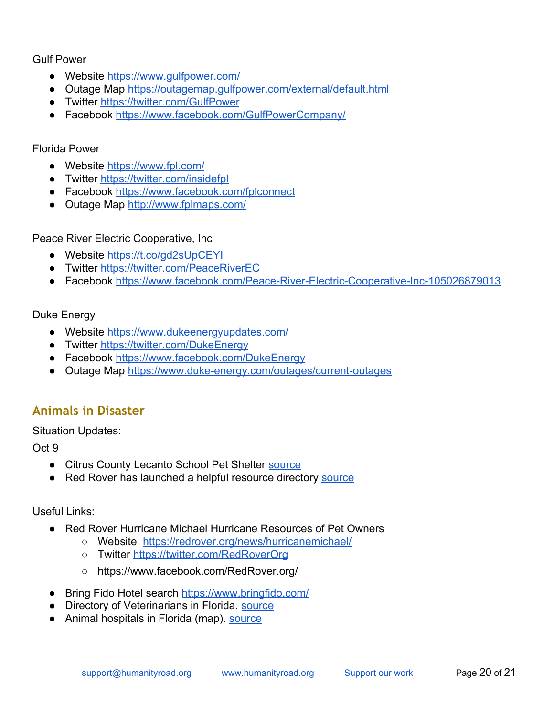Gulf Power

- Website<https://www.gulfpower.com/>
- Outage Map <https://outagemap.gulfpower.com/external/default.html>
- Twitter<https://twitter.com/GulfPower>
- Facebook<https://www.facebook.com/GulfPowerCompany/>

#### Florida Power

- Website<https://www.fpl.com/>
- Twitter<https://twitter.com/insidefpl>
- Facebook<https://www.facebook.com/fplconnect>
- Outage Map <http://www.fplmaps.com/>

Peace River Electric Cooperative, Inc

- Website<https://t.co/gd2sUpCEYI>
- Twitter<https://twitter.com/PeaceRiverEC>
- Facebook [https://www.facebook.com/Peace-River-Electric-Cooperative-Inc-105026879013](https://www.facebook.com/Peace-River-Electric-Cooperative-Inc-105026879013/?hc_ref=ARQqN0B2tfFSF_YM0SOKdV6KRNf45vDH8wTVO7cokfOIgU0nWnr6_-0TwQdEa7r7qqo&fref=nf&__xts__[0]=68.ARANgW-ilj_WsFKfAkKAsqZvHuEiBzHRQNxmzPxSmrZuWwI3skkOi7NBSlZO-oRJAdtiwdQI-FXwSvO9bWoedulzdEpgrTGFreHeqwu28iJo6gql8jDt44jzAx-MfT_rhJ-M_ql0ahscd1hSOBYIxwzPQSKVDAzgNpJ7K-Ua0KrBlFWrOX0lRfs&__tn__=kC-R)

#### Duke Energy

- Website<https://www.dukeenergyupdates.com/>
- Twitter<https://twitter.com/DukeEnergy>
- Facebook<https://www.facebook.com/DukeEnergy>
- Outage Map <https://www.duke-energy.com/outages/current-outages>

## <span id="page-19-0"></span>**Animals in Disaster**

#### Situation Updates:

Oct 9

- Citrus County Lecanto School Pet Shelter [source](https://www.facebook.com/akcreunite/photos/a.130513006976775/2298305443530843/?type=3&eid=ARB_M46wdI07KFJ-h4nGGqEKePVsNXmdEcMmwdXKLA-C8z8JprKXyzmQcwPEYgY0PnUjWjHhsWDftGcj&__xts__%5B0%5D=68.ARCTS9i4RNmLMl8TWfcl6mZbYCkGi104SykuTfMgywJCxtbq5paPT-fFpISDE95JPfobauVRRADp5j2B3AmuijgD5aqQyvYy1cMK32H4XeRYkCsAQYqXt0G19_2Y7VQ6GNCv6I6yfDUj0WNyNXO_IgKjTYPgpW0AO94xRp5Z3Nnh1lsVnnDS-Q&__tn__=EEHH-R)
- Red Rover has launched a helpful re[source](https://redrover.org/news/hurricanemichael/) directory source

### Useful Links:

- Red Rover Hurricane Michael Hurricane Resources of Pet Owners
	- Website <https://redrover.org/news/hurricanemichael/>
	- Twitter<https://twitter.com/RedRoverOrg>
	- https://www.facebook.com/RedRover.org/
- Bring Fido Hotel search <https://www.bringfido.com/>
- Directory of Veterinarians in Florida. [source](https://www.bringfido.com/resource/veterinarians/state/florida/)
- Animal hospitals in Florida (map). [source](https://www.google.com/search?q=animal+hospitals+directory+florida&npsic=0&rflfq=1&rlha=0&rllag=28557313,-82391162,119630&tbm=lcl&ved=0ahUKEwiVuo2DqpvWAhWE6oMKHQZJDuEQtgMIKA&tbs=lrf:!2m1!1e2!2m1!1e3!3sIAE,lf:1,lf_ui:2&rldoc=1#rlfi=hd:;si:;mv:!1m3!1d2379620.8939346187!2d-82.20401135!3d28.291661299999998!2m3!1f0!2f0!3f0!3m2!1i214!2i254!4f13.1;tbs:lrf:!2m1!1e2!2m1!1e3!3sIAE,lf:1,lf_ui:2)